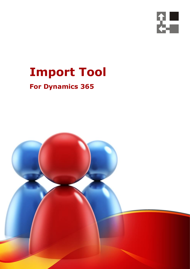

## **Import Tool**

## **For Dynamics 365**

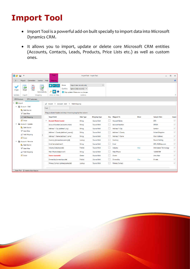## **Import Tool**

- Import Tool is a powerful add-on built specially to import data into Microsoft Dynamics CRM.
- It allows you to import, update or delete core Microsoft CRM entities (Accounts, Contacts, Leads, Products, Price Lists etc.) as well as custom ones.

| 器合                                                                                      | Tools<br>ы<br>$\overline{\mathbf{v}}$                                                       |                                   |         |                                                                                                                                                          |                                                                                                                       |                                                                    | Import Tool - Import Tool |              |                     |  |                        |      |                        |              |
|-----------------------------------------------------------------------------------------|---------------------------------------------------------------------------------------------|-----------------------------------|---------|----------------------------------------------------------------------------------------------------------------------------------------------------------|-----------------------------------------------------------------------------------------------------------------------|--------------------------------------------------------------------|---------------------------|--------------|---------------------|--|------------------------|------|------------------------|--------------|
| $\Box$                                                                                  | Project                                                                                     | Connection                        | License | Help                                                                                                                                                     | Mapping                                                                                                               |                                                                    |                           |              |                     |  |                        |      |                        | $\odot$      |
| Single<br>Validate                                                                      | R<br>展<br>$\Leftrightarrow$<br>Single<br>Clear<br>Map<br>Automatically<br>Import<br>Mapping |                                   |         | Mode<br>$\blacksquare$<br>$\mathbf T$<br>ab<br>Conflicts<br>$\overline{\phantom{a}}$<br><b>60</b><br>Skip update if there are no changes<br>Show or Hide |                                                                                                                       | Import new records only<br>Ignore (skip records) $\vee$<br>Options |                           | $\checkmark$ |                     |  |                        |      | ^                      |              |
| <b>DPS Products</b>                                                                     |                                                                                             | <b>DPS Customers</b>              |         |                                                                                                                                                          |                                                                                                                       |                                                                    |                           |              |                     |  |                        |      |                        |              |
| $\Box$ Import<br>$\checkmark$<br>Account - Add<br>v<br>Col Data Source<br>Data Filter   |                                                                                             |                                   |         | $\frac{1}{\sin \theta}$<br>Find:                                                                                                                         | $Import$ > $Account - Add$ ><br><b>Field Mapping</b><br>Drag a column header and drop it here to group by that column |                                                                    |                           |              |                     |  |                        |      |                        |              |
|                                                                                         |                                                                                             | Field Mapping                     |         |                                                                                                                                                          | <b>Target Field</b>                                                                                                   |                                                                    | Data Type                 |              | <b>Mapping Type</b> |  | Key Mapped To          | More | <b>Sample Data</b>     | Impor        |
|                                                                                         | S Script                                                                                    |                                   |         | $\mathcal{E}$                                                                                                                                            | <b>Account Name (name)</b>                                                                                            |                                                                    | String                    |              | Source field        |  | <b>Account Name</b>    |      | <b>DPS</b>             | $\checkmark$ |
| Account - Update<br><b>Col</b> Data Source<br>Data Filter<br>Field Mapping<br>SS Script |                                                                                             |                                   |         |                                                                                                                                                          | Account Number (accountnumber)                                                                                        |                                                                    | String                    |              | Source field        |  | <b>Account Number</b>  |      | DPS00                  | $\checkmark$ |
|                                                                                         |                                                                                             |                                   |         |                                                                                                                                                          | Address 1: City (address1_city)                                                                                       |                                                                    | String                    |              | Source field        |  | Address 1: City        |      | London                 | $\checkmark$ |
|                                                                                         |                                                                                             |                                   |         |                                                                                                                                                          | Address 1: County (address1_county)                                                                                   |                                                                    | String                    |              | Source field        |  | Address 1: County      |      | <b>United Kingdom</b>  | $\checkmark$ |
|                                                                                         |                                                                                             |                                   |         |                                                                                                                                                          | Address 1: Name (address1_name)                                                                                       |                                                                    | <b>String</b>             |              | Source field        |  | Address 1: Name        |      | Main Address:          | $\checkmark$ |
|                                                                                         |                                                                                             |                                   |         |                                                                                                                                                          | Currency (transactioncurrencyid)                                                                                      |                                                                    | Lookup                    |              | Source field        |  | Currency               |      | <b>Pound Sterling</b>  | $\checkmark$ |
| Account - Remove<br>Co. Data Source                                                     |                                                                                             |                                   |         |                                                                                                                                                          | Email (emailaddress1)                                                                                                 |                                                                    | String                    |              | Source field        |  | Email                  |      | DPS_HQ@dps.com         | $\checkmark$ |
| Data Filter<br>Field Mapping<br><b>图 Script</b>                                         |                                                                                             |                                   |         |                                                                                                                                                          | Industry (industrycode)                                                                                               |                                                                    | Picklist                  |              | Source field        |  | Industry               | Map  | Information Technology | $\checkmark$ |
|                                                                                         |                                                                                             |                                   |         |                                                                                                                                                          | Main Phone (telephone1)                                                                                               |                                                                    | String                    |              | Source field        |  | Main Phone             |      | 123456789              | $\checkmark$ |
|                                                                                         |                                                                                             |                                   |         |                                                                                                                                                          | <b>Owner (ownerid)</b>                                                                                                |                                                                    | Owner                     |              | Source field        |  | Owner                  |      | Ama Akar               | $\checkmark$ |
|                                                                                         |                                                                                             |                                   |         |                                                                                                                                                          | Ownership (ownershipcode)                                                                                             |                                                                    | <b>Picklist</b>           |              | Source field        |  | Ownership              | Map  | Private                | $\checkmark$ |
|                                                                                         |                                                                                             |                                   |         |                                                                                                                                                          | Primary Contact (primarycontactid)                                                                                    |                                                                    | Lookup                    |              | Source field        |  | <b>Primary Contact</b> |      |                        | $\checkmark$ |
|                                                                                         |                                                                                             |                                   |         |                                                                                                                                                          |                                                                                                                       |                                                                    |                           |              |                     |  |                        |      |                        |              |
|                                                                                         |                                                                                             | Sales Trial   Izabela Akar-Kasyna |         |                                                                                                                                                          |                                                                                                                       |                                                                    |                           |              |                     |  |                        |      |                        |              |

Your Company Name (C) Copyright (Print Date) All Rights Reserved